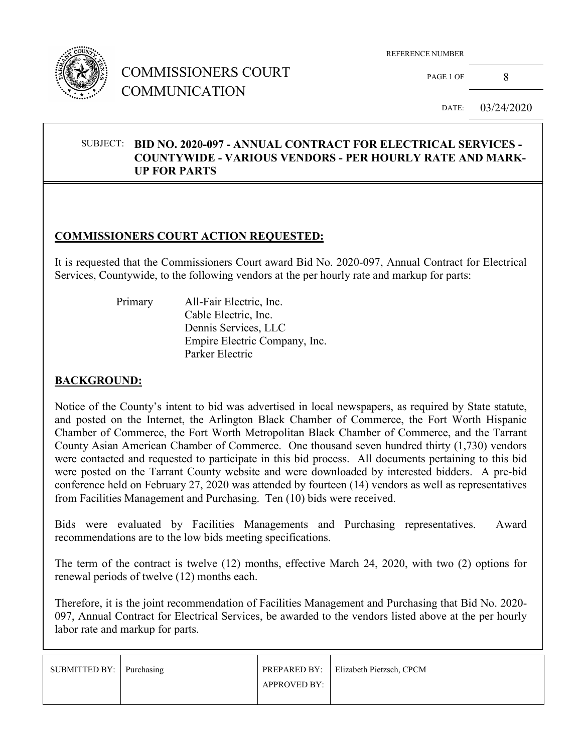

# COMMISSIONERS COURT COMMUNICATION

REFERENCE NUMBER

PAGE 1 OF 8

DATE: 03/24/2020

#### SUBJECT: **BID NO. 2020-097 - ANNUAL CONTRACT FOR ELECTRICAL SERVICES - COUNTYWIDE - VARIOUS VENDORS - PER HOURLY RATE AND MARK-UP FOR PARTS**

### **COMMISSIONERS COURT ACTION REQUESTED:**

It is requested that the Commissioners Court award Bid No. 2020-097, Annual Contract for Electrical Services, Countywide, to the following vendors at the per hourly rate and markup for parts:

 Primary All-Fair Electric, Inc. Cable Electric, Inc. Dennis Services, LLC Empire Electric Company, Inc. Parker Electric

#### **BACKGROUND:**

Notice of the County's intent to bid was advertised in local newspapers, as required by State statute, and posted on the Internet, the Arlington Black Chamber of Commerce, the Fort Worth Hispanic Chamber of Commerce, the Fort Worth Metropolitan Black Chamber of Commerce, and the Tarrant County Asian American Chamber of Commerce. One thousand seven hundred thirty (1,730) vendors were contacted and requested to participate in this bid process. All documents pertaining to this bid were posted on the Tarrant County website and were downloaded by interested bidders. A pre-bid conference held on February 27, 2020 was attended by fourteen (14) vendors as well as representatives from Facilities Management and Purchasing. Ten (10) bids were received.

Bids were evaluated by Facilities Managements and Purchasing representatives. Award recommendations are to the low bids meeting specifications.

The term of the contract is twelve (12) months, effective March 24, 2020, with two (2) options for renewal periods of twelve (12) months each.

Therefore, it is the joint recommendation of Facilities Management and Purchasing that Bid No. 2020- 097, Annual Contract for Electrical Services, be awarded to the vendors listed above at the per hourly labor rate and markup for parts.

| SUBMITTED BY: Purchasing |                     | <b>PREPARED BY:</b> Elizabeth Pietzsch, CPCM |
|--------------------------|---------------------|----------------------------------------------|
|                          | <b>APPROVED BY:</b> |                                              |